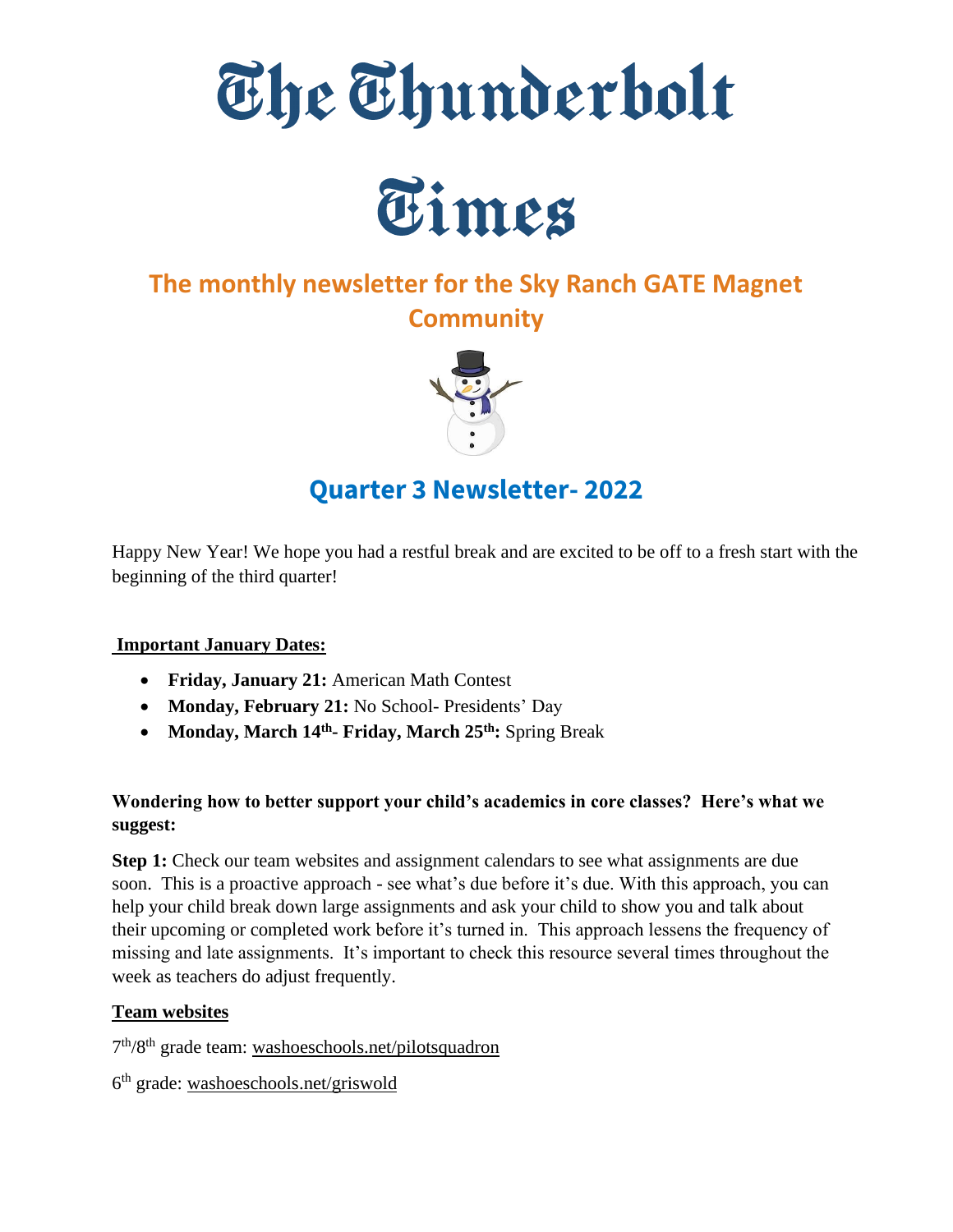



# **The monthly newsletter for the Sky Ranch GATE Magnet Community**



# **Quarter 3 Newsletter- 2022**

Happy New Year! We hope you had a restful break and are excited to be off to a fresh start with the beginning of the third quarter!

# **Important January Dates:**

- **Friday, January 21:** American Math Contest
- **Monday, February 21:** No School- Presidents' Day
- **Monday, March 14th - Friday, March 25th:** Spring Break

# **Wondering how to better support your child's academics in core classes? Here's what we suggest:**

**Step 1:** Check our team websites and assignment calendars to see what assignments are due soon. This is a proactive approach - see what's due before it's due. With this approach, you can help your child break down large assignments and ask your child to show you and talk about their upcoming or completed work before it's turned in. This approach lessens the frequency of missing and late assignments. It's important to check this resource several times throughout the week as teachers do adjust frequently.

# **Team websites**

7<sup>th</sup>/8<sup>th</sup> grade team: [washoeschools.net/pilotsquadron](http://washoeschools.net/pilotsquadron)

6<sup>th</sup> grade: [washoeschools.net/griswold](http://washoeschools.net/griswold)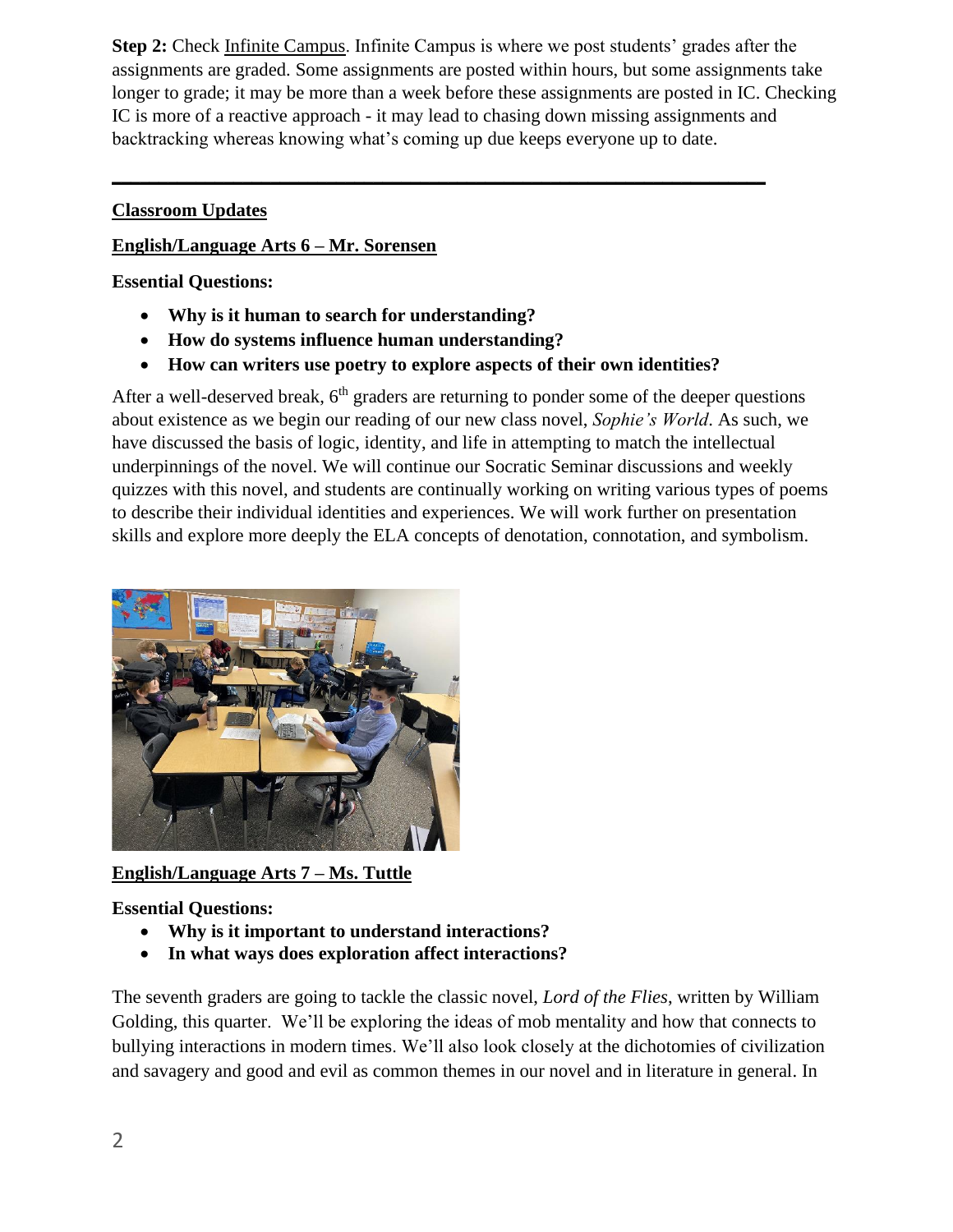**Step 2:** Check [Infinite Campus.](https://www.washoeschools.net/site/Default.aspx?PageType=1&SiteID=4&ChannelID=57&DirectoryType=6) Infinite Campus is where we post students' grades after the assignments are graded. Some assignments are posted within hours, but some assignments take longer to grade; it may be more than a week before these assignments are posted in IC. Checking IC is more of a reactive approach - it may lead to chasing down missing assignments and backtracking whereas knowing what's coming up due keeps everyone up to date.

# **Classroom Updates**

## **English/Language Arts 6 – Mr. Sorensen**

**Essential Questions:** 

- **Why is it human to search for understanding?**
- **How do systems influence human understanding?**
- **How can writers use poetry to explore aspects of their own identities?**

**\_\_\_\_\_\_\_\_\_\_\_\_\_\_\_\_\_\_\_\_\_\_\_\_\_\_\_\_\_\_\_\_\_\_\_\_\_\_\_\_\_\_\_\_\_\_\_\_\_\_\_\_\_\_\_\_\_\_\_\_\_\_\_\_\_\_\_\_\_\_**

After a well-deserved break,  $6<sup>th</sup>$  graders are returning to ponder some of the deeper questions about existence as we begin our reading of our new class novel, *Sophie's World*. As such, we have discussed the basis of logic, identity, and life in attempting to match the intellectual underpinnings of the novel. We will continue our Socratic Seminar discussions and weekly quizzes with this novel, and students are continually working on writing various types of poems to describe their individual identities and experiences. We will work further on presentation skills and explore more deeply the ELA concepts of denotation, connotation, and symbolism.



**English/Language Arts 7 – Ms. Tuttle** 

# **Essential Questions:**

- **Why is it important to understand interactions?**
- **In what ways does exploration affect interactions?**

The seventh graders are going to tackle the classic novel, *Lord of the Flies*, written by William Golding, this quarter. We'll be exploring the ideas of mob mentality and how that connects to bullying interactions in modern times. We'll also look closely at the dichotomies of civilization and savagery and good and evil as common themes in our novel and in literature in general. In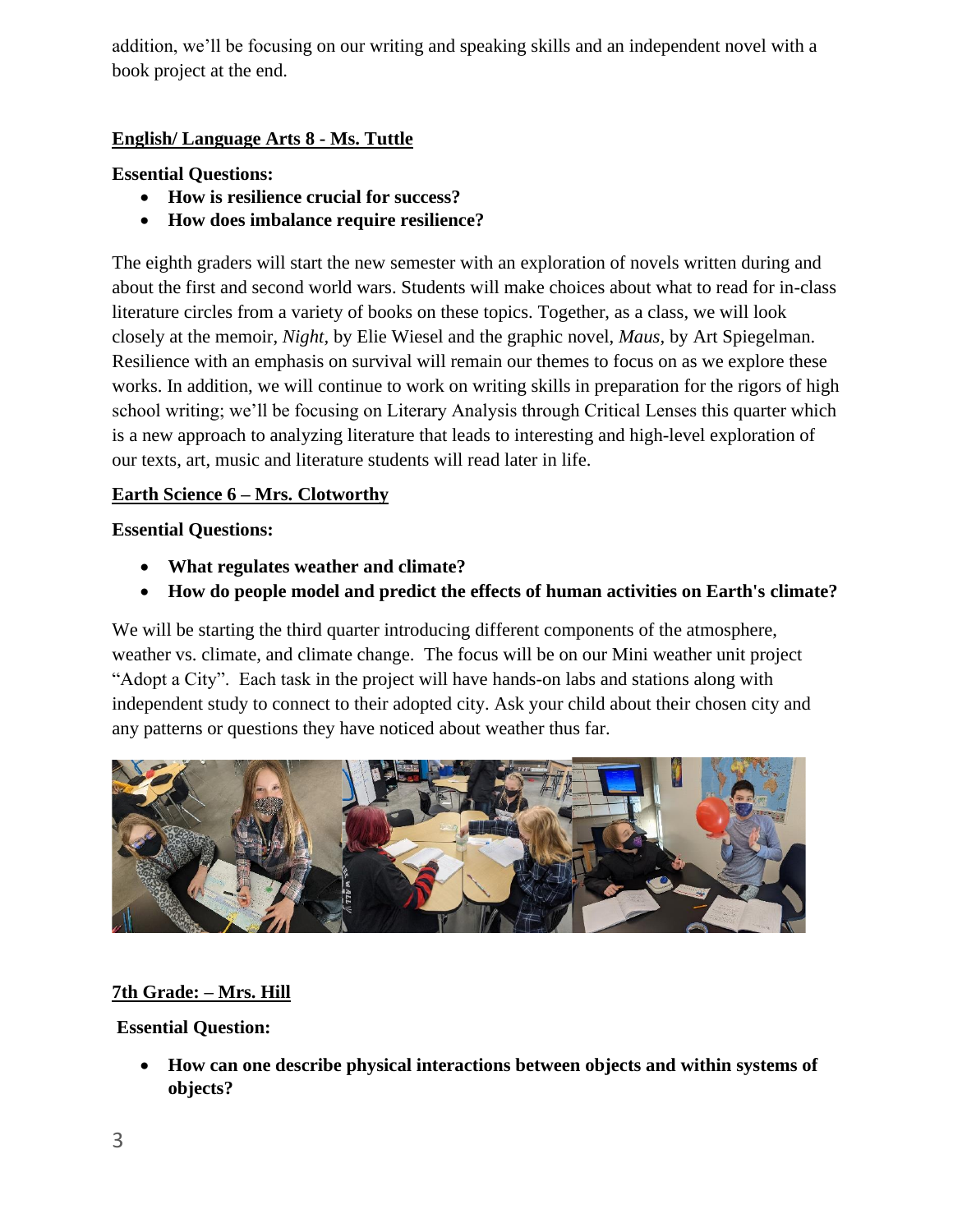addition, we'll be focusing on our writing and speaking skills and an independent novel with a book project at the end.

# **English/ Language Arts 8 - Ms. Tuttle**

#### **Essential Questions:**

- **How is resilience crucial for success?**
- **How does imbalance require resilience?**

The eighth graders will start the new semester with an exploration of novels written during and about the first and second world wars. Students will make choices about what to read for in-class literature circles from a variety of books on these topics. Together, as a class, we will look closely at the memoir, *Night,* by Elie Wiesel and the graphic novel, *Maus,* by Art Spiegelman. Resilience with an emphasis on survival will remain our themes to focus on as we explore these works. In addition, we will continue to work on writing skills in preparation for the rigors of high school writing; we'll be focusing on Literary Analysis through Critical Lenses this quarter which is a new approach to analyzing literature that leads to interesting and high-level exploration of our texts, art, music and literature students will read later in life.

#### **Earth Science 6 – Mrs. Clotworthy**

#### **Essential Questions:**

- **What regulates weather and climate?**
- **How do people model and predict the effects of human activities on Earth's climate?**

We will be starting the third quarter introducing different components of the atmosphere, weather vs. climate, and climate change. The focus will be on our Mini weather unit project "Adopt a City". Each task in the project will have hands-on labs and stations along with independent study to connect to their adopted city. Ask your child about their chosen city and any patterns or questions they have noticed about weather thus far.



# **7th Grade: – Mrs. Hill**

**Essential Question:** 

• **How can one describe physical interactions between objects and within systems of objects?**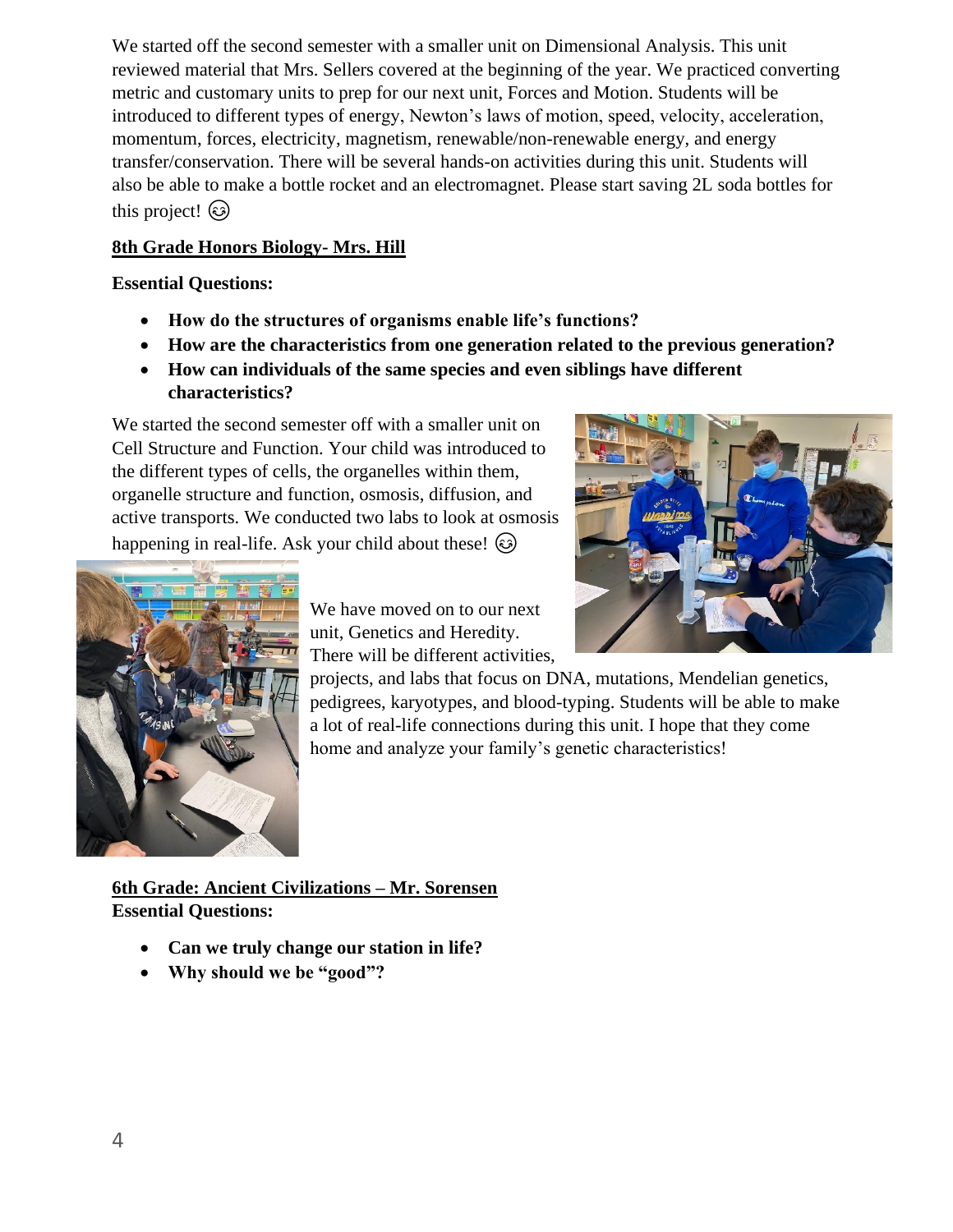We started off the second semester with a smaller unit on Dimensional Analysis. This unit reviewed material that Mrs. Sellers covered at the beginning of the year. We practiced converting metric and customary units to prep for our next unit, Forces and Motion. Students will be introduced to different types of energy, Newton's laws of motion, speed, velocity, acceleration, momentum, forces, electricity, magnetism, renewable/non-renewable energy, and energy transfer/conservation. There will be several hands-on activities during this unit. Students will also be able to make a bottle rocket and an electromagnet. Please start saving 2L soda bottles for this project!

# **8th Grade Honors Biology- Mrs. Hill**

# **Essential Questions:**

- **How do the structures of organisms enable life's functions?**
- **How are the characteristics from one generation related to the previous generation?**
- **How can individuals of the same species and even siblings have different characteristics?**

We started the second semester off with a smaller unit on Cell Structure and Function. Your child was introduced to the different types of cells, the organelles within them, organelle structure and function, osmosis, diffusion, and active transports. We conducted two labs to look at osmosis happening in real-life. Ask your child about these!  $\odot$ 





We have moved on to our next unit, Genetics and Heredity. There will be different activities,

projects, and labs that focus on DNA, mutations, Mendelian genetics, pedigrees, karyotypes, and blood-typing. Students will be able to make a lot of real-life connections during this unit. I hope that they come home and analyze your family's genetic characteristics!

**6th Grade: Ancient Civilizations – Mr. Sorensen Essential Questions:** 

- **Can we truly change our station in life?**
- **Why should we be "good"?**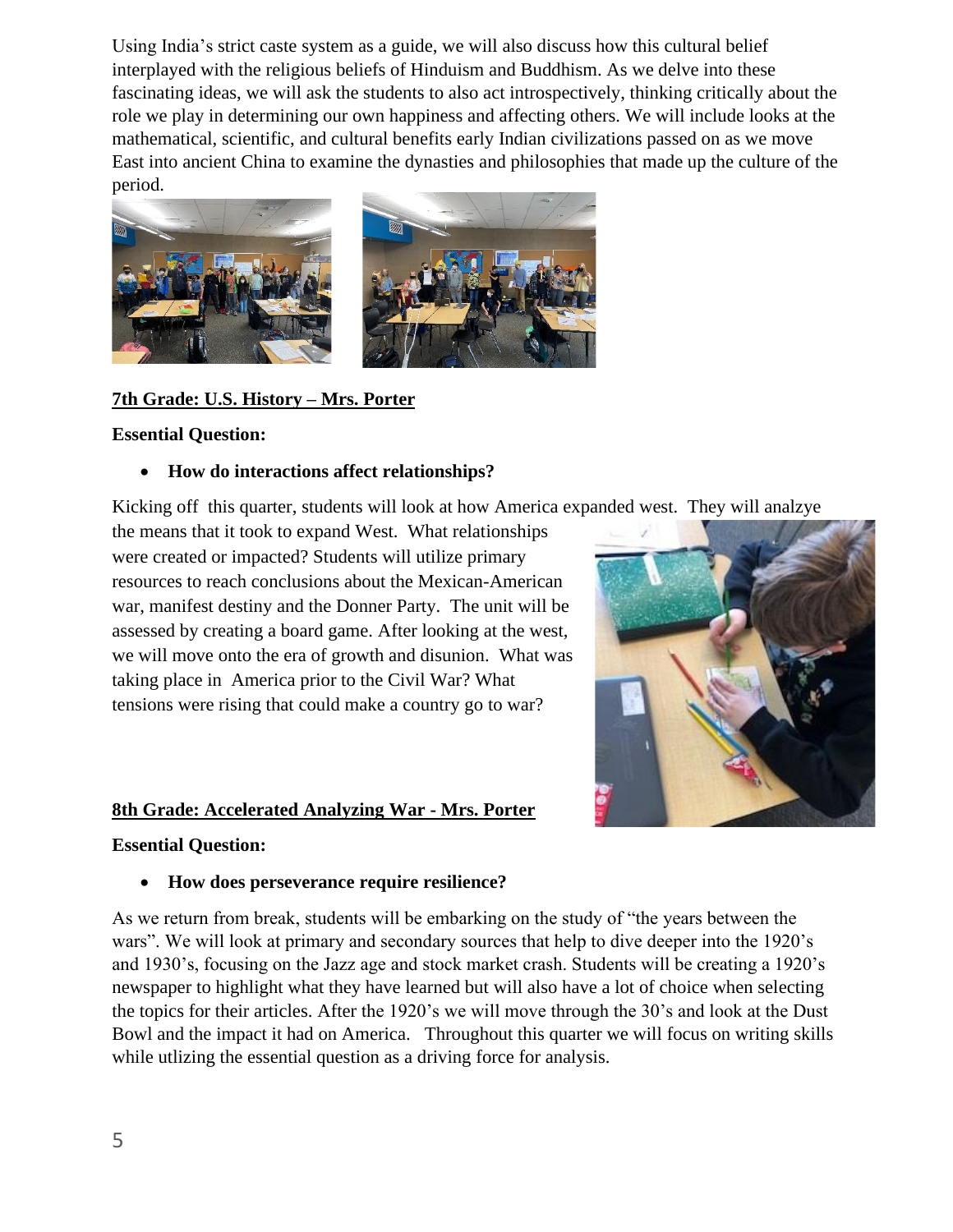Using India's strict caste system as a guide, we will also discuss how this cultural belief interplayed with the religious beliefs of Hinduism and Buddhism. As we delve into these fascinating ideas, we will ask the students to also act introspectively, thinking critically about the role we play in determining our own happiness and affecting others. We will include looks at the mathematical, scientific, and cultural benefits early Indian civilizations passed on as we move East into ancient China to examine the dynasties and philosophies that made up the culture of the period.



## **7th Grade: U.S. History – Mrs. Porter**

#### **Essential Question:**

#### • **How do interactions affect relationships?**

Kicking off this quarter, students will look at how America expanded west. They will analzye

the means that it took to expand West. What relationships were created or impacted? Students will utilize primary resources to reach conclusions about the Mexican-American war, manifest destiny and the Donner Party. The unit will be assessed by creating a board game. After looking at the west, we will move onto the era of growth and disunion. What was taking place in America prior to the Civil War? What tensions were rising that could make a country go to war?

#### **8th Grade: Accelerated Analyzing War - Mrs. Porter**

#### **Essential Question:**

#### • **How does perseverance require resilience?**

As we return from break, students will be embarking on the study of "the years between the wars". We will look at primary and secondary sources that help to dive deeper into the 1920's and 1930's, focusing on the Jazz age and stock market crash. Students will be creating a 1920's newspaper to highlight what they have learned but will also have a lot of choice when selecting the topics for their articles. After the 1920's we will move through the 30's and look at the Dust Bowl and the impact it had on America. Throughout this quarter we will focus on writing skills while utlizing the essential question as a driving force for analysis.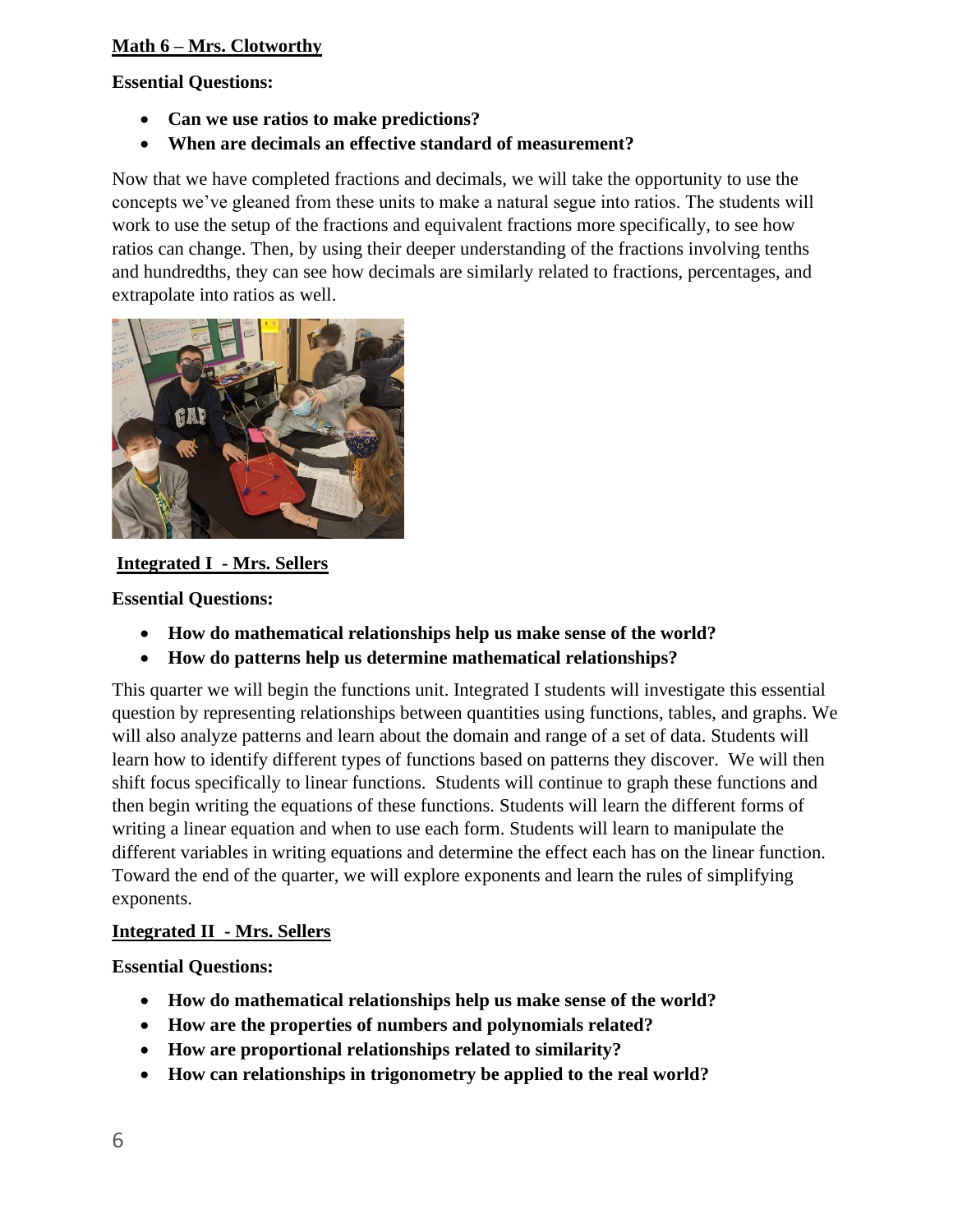# **Math 6 – Mrs. Clotworthy**

#### **Essential Questions:**

- **Can we use ratios to make predictions?**
- **When are decimals an effective standard of measurement?**

Now that we have completed fractions and decimals, we will take the opportunity to use the concepts we've gleaned from these units to make a natural segue into ratios. The students will work to use the setup of the fractions and equivalent fractions more specifically, to see how ratios can change. Then, by using their deeper understanding of the fractions involving tenths and hundredths, they can see how decimals are similarly related to fractions, percentages, and extrapolate into ratios as well.



## **Integrated I - Mrs. Sellers**

**Essential Questions:** 

- **How do mathematical relationships help us make sense of the world?**
- **How do patterns help us determine mathematical relationships?**

This quarter we will begin the functions unit. Integrated I students will investigate this essential question by representing relationships between quantities using functions, tables, and graphs. We will also analyze patterns and learn about the domain and range of a set of data. Students will learn how to identify different types of functions based on patterns they discover. We will then shift focus specifically to linear functions. Students will continue to graph these functions and then begin writing the equations of these functions. Students will learn the different forms of writing a linear equation and when to use each form. Students will learn to manipulate the different variables in writing equations and determine the effect each has on the linear function. Toward the end of the quarter, we will explore exponents and learn the rules of simplifying exponents.

#### **Integrated II - Mrs. Sellers**

#### **Essential Questions:**

- **How do mathematical relationships help us make sense of the world?**
- **How are the properties of numbers and polynomials related?**
- **How are proportional relationships related to similarity?**
- **How can relationships in trigonometry be applied to the real world?**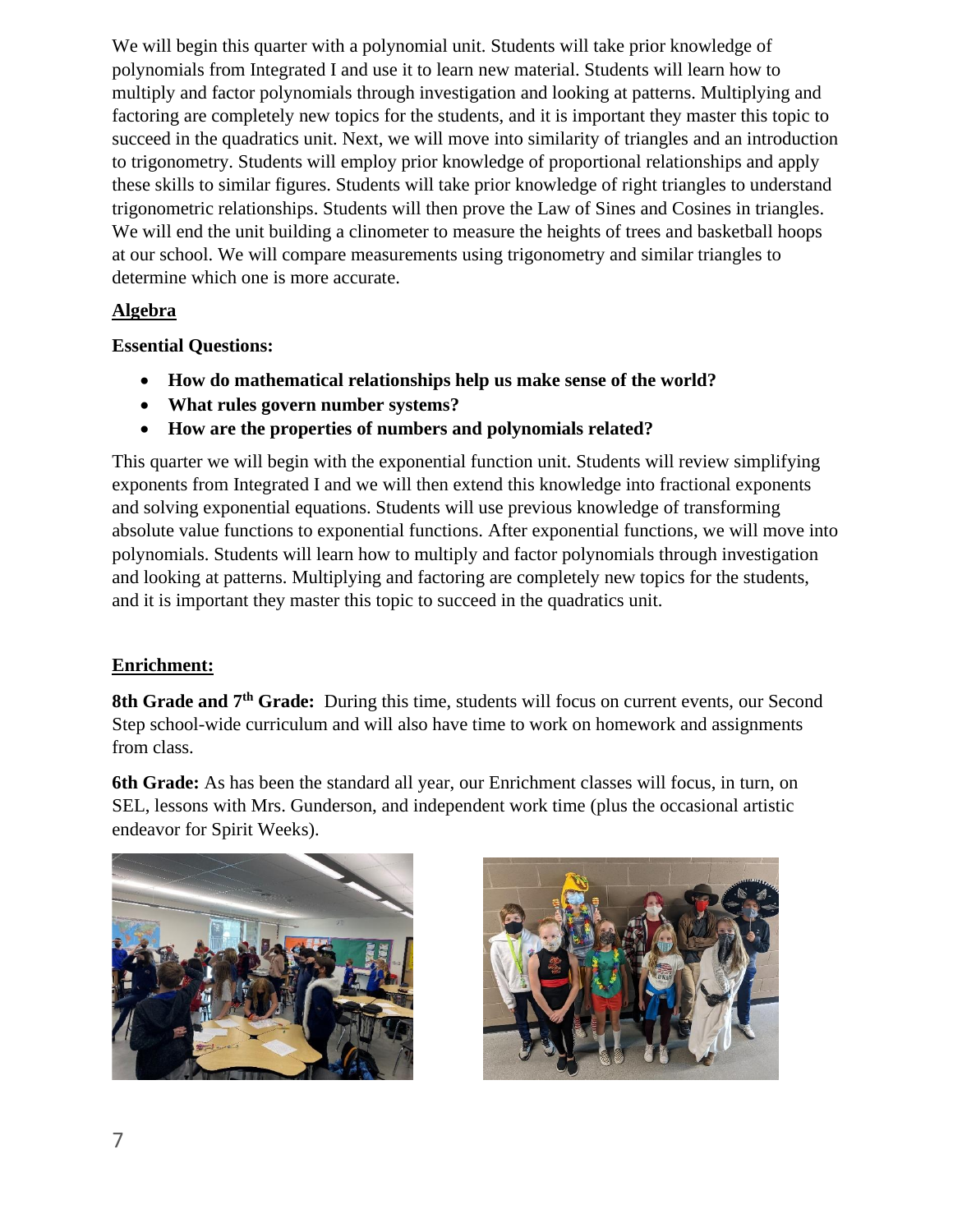We will begin this quarter with a polynomial unit. Students will take prior knowledge of polynomials from Integrated I and use it to learn new material. Students will learn how to multiply and factor polynomials through investigation and looking at patterns. Multiplying and factoring are completely new topics for the students, and it is important they master this topic to succeed in the quadratics unit. Next, we will move into similarity of triangles and an introduction to trigonometry. Students will employ prior knowledge of proportional relationships and apply these skills to similar figures. Students will take prior knowledge of right triangles to understand trigonometric relationships. Students will then prove the Law of Sines and Cosines in triangles. We will end the unit building a clinometer to measure the heights of trees and basketball hoops at our school. We will compare measurements using trigonometry and similar triangles to determine which one is more accurate.

## **Algebra**

## **Essential Questions:**

- **How do mathematical relationships help us make sense of the world?**
- **What rules govern number systems?**
- **How are the properties of numbers and polynomials related?**

This quarter we will begin with the exponential function unit. Students will review simplifying exponents from Integrated I and we will then extend this knowledge into fractional exponents and solving exponential equations. Students will use previous knowledge of transforming absolute value functions to exponential functions. After exponential functions, we will move into polynomials. Students will learn how to multiply and factor polynomials through investigation and looking at patterns. Multiplying and factoring are completely new topics for the students, and it is important they master this topic to succeed in the quadratics unit.

# **Enrichment:**

**8th Grade and 7th Grade:** During this time, students will focus on current events, our Second Step school-wide curriculum and will also have time to work on homework and assignments from class.

**6th Grade:** As has been the standard all year, our Enrichment classes will focus, in turn, on SEL, lessons with Mrs. Gunderson, and independent work time (plus the occasional artistic endeavor for Spirit Weeks).



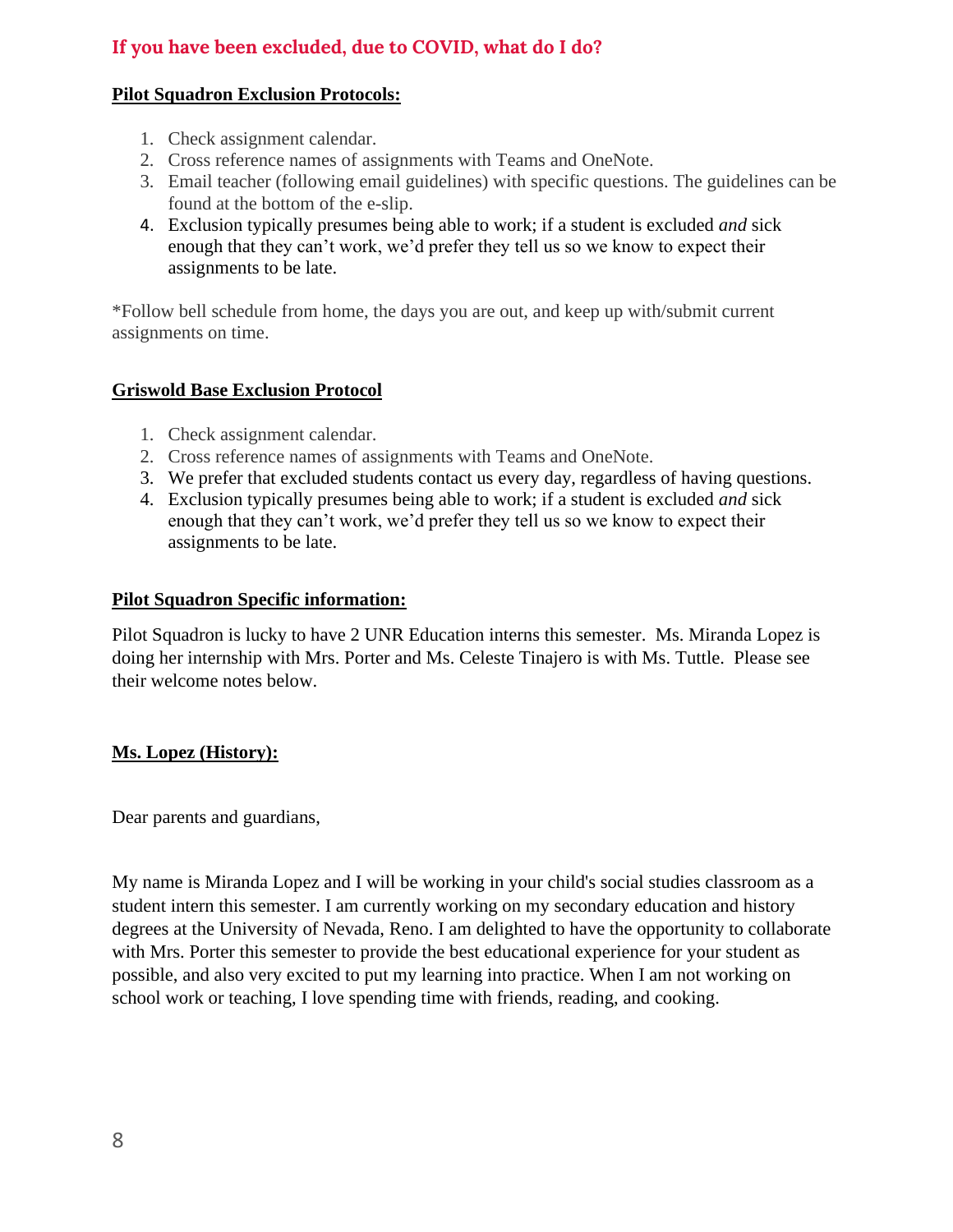# **If you have been excluded, due to COVID, what do I do?**

# **Pilot Squadron Exclusion Protocols:**

- 1. Check assignment calendar.
- 2. Cross reference names of assignments with Teams and OneNote.
- 3. Email teacher (following email guidelines) with specific questions. The guidelines can be found at the bottom of the e-slip.
- 4. Exclusion typically presumes being able to work; if a student is excluded *and* sick enough that they can't work, we'd prefer they tell us so we know to expect their assignments to be late.

\*Follow bell schedule from home, the days you are out, and keep up with/submit current assignments on time.

# **Griswold Base Exclusion Protocol**

- 1. Check assignment calendar.
- 2. Cross reference names of assignments with Teams and OneNote.
- 3. We prefer that excluded students contact us every day, regardless of having questions.
- 4. Exclusion typically presumes being able to work; if a student is excluded *and* sick enough that they can't work, we'd prefer they tell us so we know to expect their assignments to be late.

## **Pilot Squadron Specific information:**

Pilot Squadron is lucky to have 2 UNR Education interns this semester. Ms. Miranda Lopez is doing her internship with Mrs. Porter and Ms. Celeste Tinajero is with Ms. Tuttle. Please see their welcome notes below.

# **Ms. Lopez (History):**

Dear parents and guardians,

My name is Miranda Lopez and I will be working in your child's social studies classroom as a student intern this semester. I am currently working on my secondary education and history degrees at the University of Nevada, Reno. I am delighted to have the opportunity to collaborate with Mrs. Porter this semester to provide the best educational experience for your student as possible, and also very excited to put my learning into practice. When I am not working on school work or teaching, I love spending time with friends, reading, and cooking.